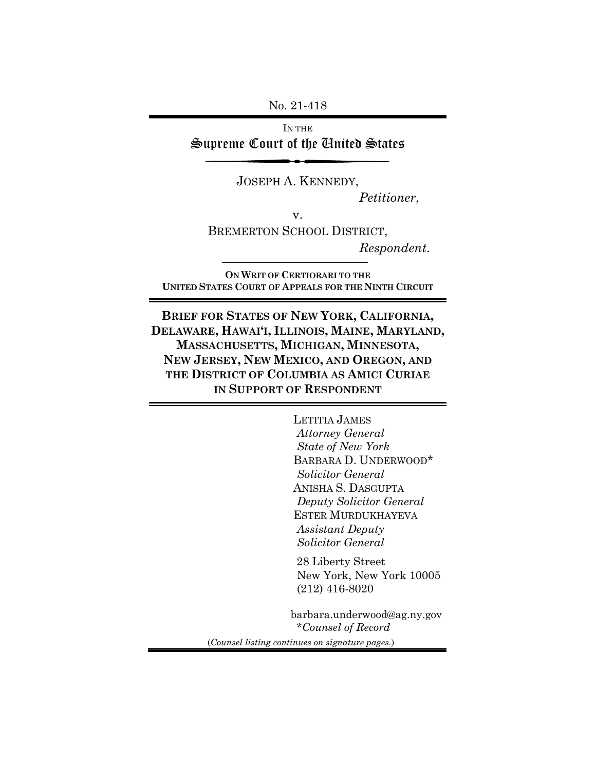No. 21-418

IN THE Supreme Court of the United States

JOSEPH A. KENNEDY,

*Petitioner*,

v.

BREMERTON SCHOOL DISTRICT,

*Respondent*.

**ON WRIT OF CERTIORARI TO THE UNITED STATES COURT OF APPEALS FOR THE NINTH CIRCUIT**

**BRIEF FOR STATES OF NEW YORK, CALIFORNIA, DELAWARE, HAWAI'I, ILLINOIS, MAINE, MARYLAND, MASSACHUSETTS, MICHIGAN, MINNESOTA, NEW JERSEY, NEW MEXICO, AND OREGON, AND THE DISTRICT OF COLUMBIA AS AMICI CURIAE IN SUPPORT OF RESPONDENT**

> LETITIA JAMES  *Attorney General State of New York* BARBARA D. UNDERWOOD\*  *Solicitor General* ANISHA S. DASGUPTA  *Deputy Solicitor General* ESTER MURDUKHAYEVA  *Assistant Deputy Solicitor General*

 28 Liberty Street New York, New York 10005 (212) 416-8020

barbara.underwood@ag.ny.gov \**Counsel of Record* (*Counsel listing continues on signature pages.*)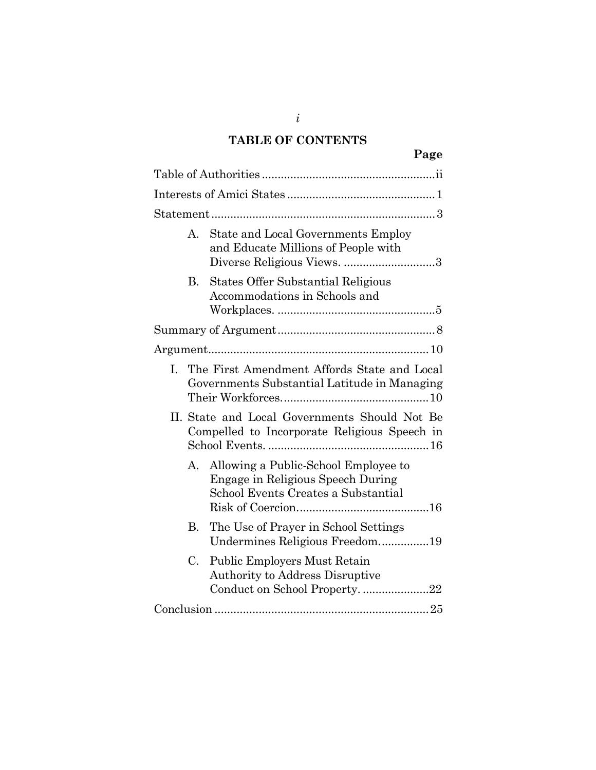# **TABLE OF CONTENTS**

|    |    | Page                                                                                                             |
|----|----|------------------------------------------------------------------------------------------------------------------|
|    |    |                                                                                                                  |
|    |    |                                                                                                                  |
|    |    |                                                                                                                  |
|    | A. | State and Local Governments Employ<br>and Educate Millions of People with<br>Diverse Religious Views. 3          |
|    | В. | <b>States Offer Substantial Religious</b><br>Accommodations in Schools and                                       |
|    |    |                                                                                                                  |
|    |    |                                                                                                                  |
| L. |    | The First Amendment Affords State and Local<br>Governments Substantial Latitude in Managing                      |
|    |    | II. State and Local Governments Should Not Be<br>Compelled to Incorporate Religious Speech in                    |
|    | А. | Allowing a Public-School Employee to<br>Engage in Religious Speech During<br>School Events Creates a Substantial |
|    | В. | The Use of Prayer in School Settings<br>Undermines Religious Freedom19                                           |
|    | C. | <b>Public Employers Must Retain</b><br><b>Authority to Address Disruptive</b>                                    |

Conduct on School Property. ..................... 22 Conclusion .................................................................... 25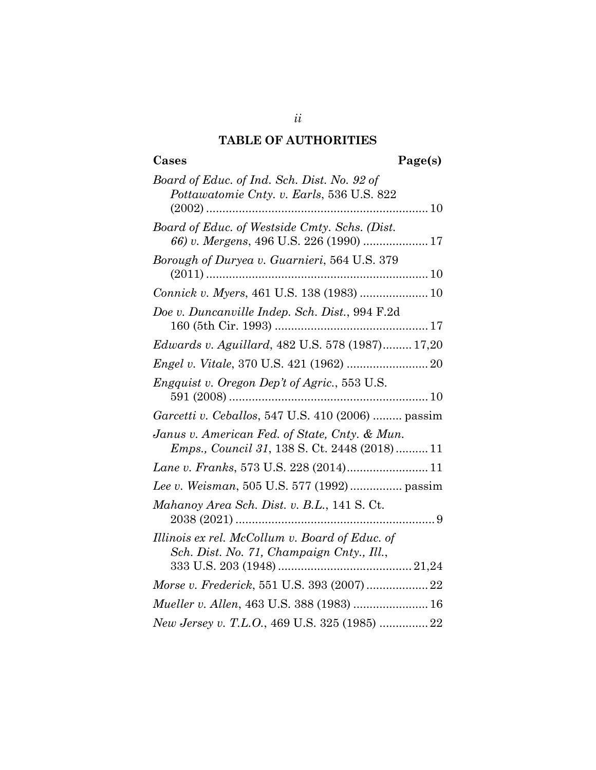# **TABLE OF AUTHORITIES**

# **Cases Page(s)**

| Board of Educ. of Ind. Sch. Dist. No. 92 of<br>Pottawatomie Cnty. v. Earls, 536 U.S. 822             |
|------------------------------------------------------------------------------------------------------|
|                                                                                                      |
| Board of Educ. of Westside Cmty. Schs. (Dist.                                                        |
| Borough of Duryea v. Guarnieri, 564 U.S. 379                                                         |
| Connick v. Myers, 461 U.S. 138 (1983)  10                                                            |
| Doe v. Duncanville Indep. Sch. Dist., 994 F.2d                                                       |
| Edwards v. Aguillard, 482 U.S. 578 (1987) 17,20                                                      |
|                                                                                                      |
| <i>Engquist v. Oregon Dep't of Agric., 553 U.S.</i>                                                  |
| Garcetti v. Ceballos, 547 U.S. 410 (2006)  passim                                                    |
| Janus v. American Fed. of State, Cnty. & Mun.<br><i>Emps., Council 31, 138 S. Ct. 2448 (2018) 11</i> |
|                                                                                                      |
| Lee v. Weisman, 505 U.S. 577 (1992) passim                                                           |
| Mahanoy Area Sch. Dist. v. B.L., 141 S. Ct.                                                          |
| Illinois ex rel. McCollum v. Board of Educ. of<br>Sch. Dist. No. 71, Champaign Cnty., Ill.,          |
| Morse v. Frederick, 551 U.S. 393 (2007)  22                                                          |
| Mueller v. Allen, 463 U.S. 388 (1983)  16                                                            |
| New Jersey v. T.L.O., 469 U.S. 325 (1985)  22                                                        |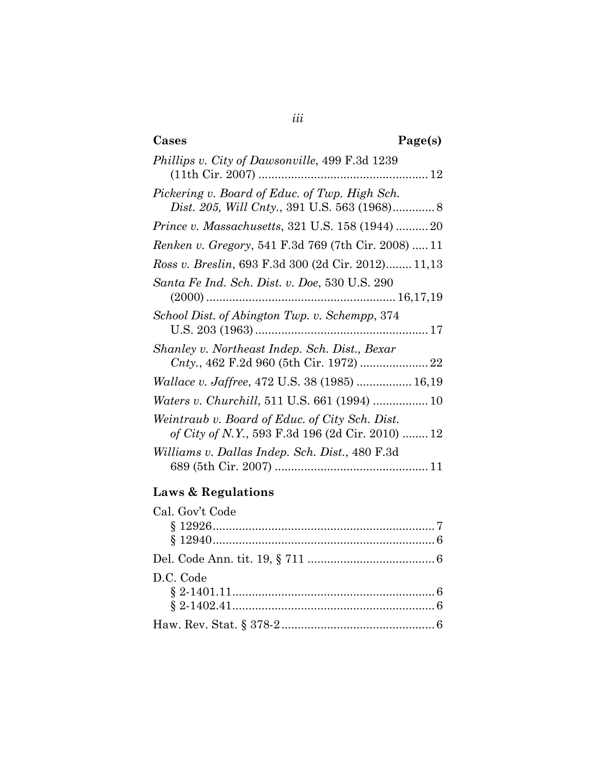# **Cases Page(s)**

| <i>Phillips v. City of Dawsonville, 499 F.3d 1239</i>                                              |
|----------------------------------------------------------------------------------------------------|
| Pickering v. Board of Educ. of Twp. High Sch.                                                      |
| <i>Prince v. Massachusetts, 321 U.S. 158 (1944) 20</i>                                             |
| <i>Renken v. Gregory</i> , 541 F.3d 769 (7th Cir. 2008)  11                                        |
| Ross v. Breslin, 693 F.3d 300 (2d Cir. 2012) 11,13                                                 |
| Santa Fe Ind. Sch. Dist. v. Doe, 530 U.S. 290                                                      |
| School Dist. of Abington Twp. v. Schempp, 374                                                      |
| Shanley v. Northeast Indep. Sch. Dist., Bexar                                                      |
| <i>Wallace v. Jaffree, 472 U.S. 38 (1985)  16,19</i>                                               |
|                                                                                                    |
| Weintraub v. Board of Educ. of City Sch. Dist.<br>of City of N.Y., 593 F.3d 196 (2d Cir. 2010)  12 |
| Williams v. Dallas Indep. Sch. Dist., 480 F.3d                                                     |

# **Laws & Regulations**

| Cal. Gov't Code |  |
|-----------------|--|
|                 |  |
|                 |  |
|                 |  |
| D.C. Code       |  |
|                 |  |
|                 |  |
|                 |  |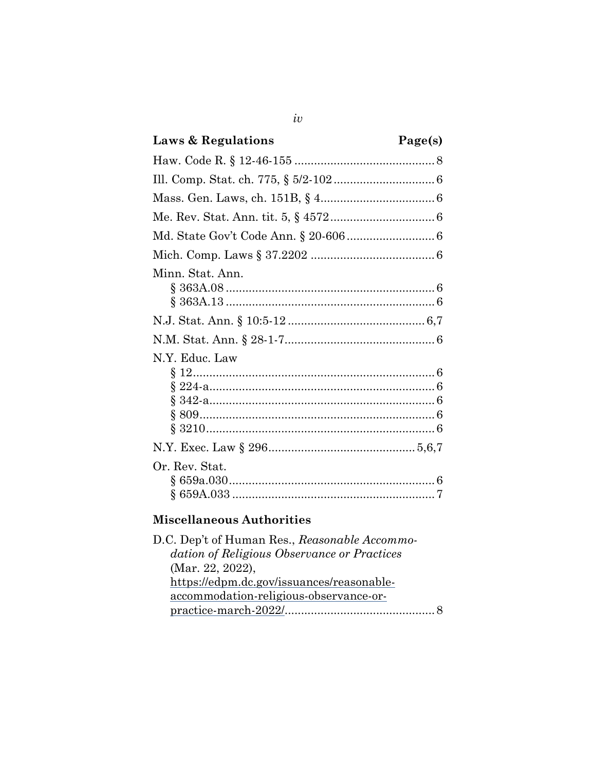| Laws & Regulations                          | Page(s) |
|---------------------------------------------|---------|
|                                             |         |
|                                             |         |
|                                             |         |
|                                             |         |
|                                             |         |
|                                             |         |
| Minn. Stat. Ann.                            |         |
|                                             |         |
|                                             |         |
| N.Y. Educ. Law                              |         |
|                                             |         |
| Or. Rev. Stat.<br>Miscollanoous Authorities |         |

 $iv$ 

### **Miscellaneous Authorities**

| D.C. Dep't of Human Res., Reasonable Accommo- |  |
|-----------------------------------------------|--|
| dation of Religious Observance or Practices   |  |
| (Mar. 22, 2022),                              |  |
| https://edpm.dc.gov/issuances/reasonable-     |  |
| accommodation-religious-observance-or-        |  |
|                                               |  |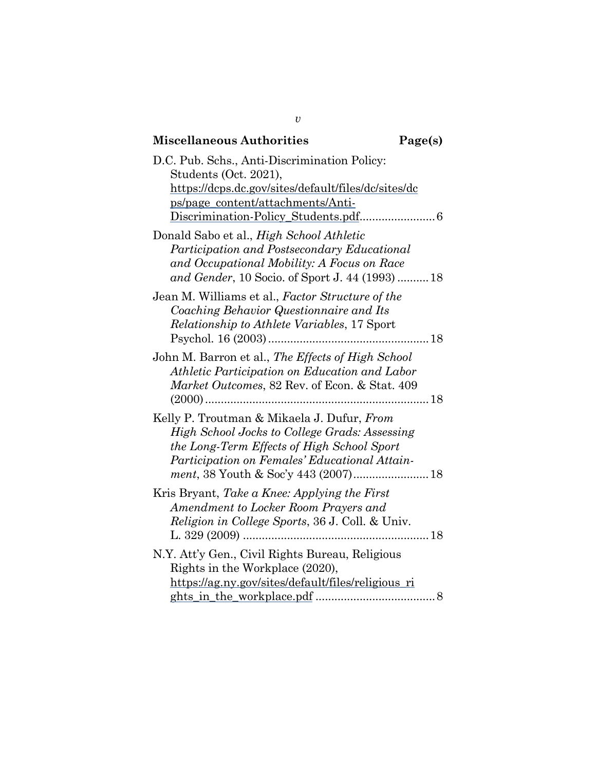| <b>Miscellaneous Authorities</b>                                                                                                                                                           | Page(s) |
|--------------------------------------------------------------------------------------------------------------------------------------------------------------------------------------------|---------|
| D.C. Pub. Schs., Anti-Discrimination Policy:<br>Students (Oct. 2021),<br>https://dcps.dc.gov/sites/default/files/dc/sites/dc<br>ps/page_content/attachments/Anti-                          |         |
| Donald Sabo et al., High School Athletic<br>Participation and Postsecondary Educational<br>and Occupational Mobility: A Focus on Race<br>and Gender, 10 Socio. of Sport J. 44 (1993)  18   |         |
| Jean M. Williams et al., Factor Structure of the<br>Coaching Behavior Questionnaire and Its<br><i>Relationship to Athlete Variables, 17 Sport</i><br>Psychol. 16 (2003)                    |         |
| John M. Barron et al., The Effects of High School<br>Athletic Participation on Education and Labor<br>Market Outcomes, 82 Rev. of Econ. & Stat. 409                                        |         |
| Kelly P. Troutman & Mikaela J. Dufur, From<br>High School Jocks to College Grads: Assessing<br>the Long-Term Effects of High School Sport<br>Participation on Females' Educational Attain- |         |
| Kris Bryant, Take a Knee: Applying the First<br>Amendment to Locker Room Prayers and<br>Religion in College Sports, 36 J. Coll. & Univ.                                                    |         |
| N.Y. Att'y Gen., Civil Rights Bureau, Religious<br>Rights in the Workplace (2020),<br>https://ag.ny.gov/sites/default/files/religious_ri                                                   |         |

*v*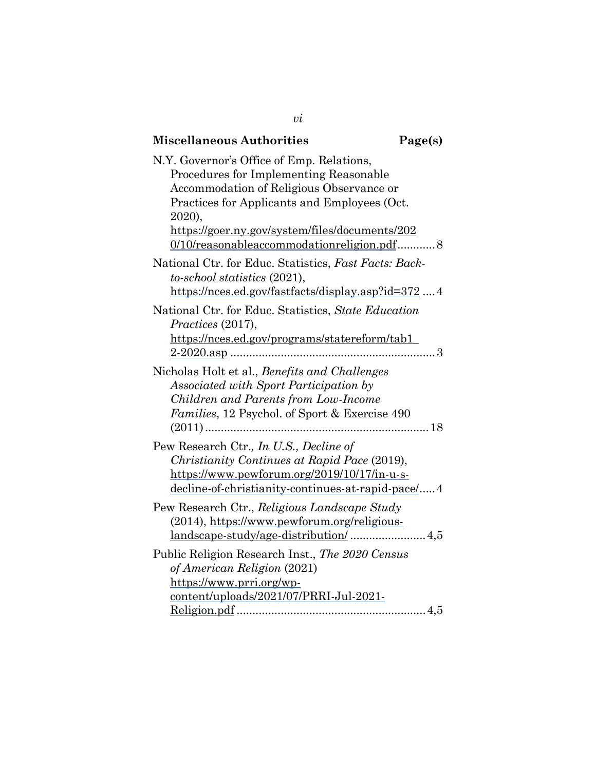| <b>Miscellaneous Authorities</b>                                                                                                                                                           | Page(s) |
|--------------------------------------------------------------------------------------------------------------------------------------------------------------------------------------------|---------|
| N.Y. Governor's Office of Emp. Relations,<br>Procedures for Implementing Reasonable<br>Accommodation of Religious Observance or<br>Practices for Applicants and Employees (Oct.            |         |
| 2020),<br>https://goer.ny.gov/system/files/documents/202<br>0/10/reasonableaccommodationreligion.pdf 8                                                                                     |         |
| National Ctr. for Educ. Statistics, Fast Facts: Back-<br>to-school statistics (2021),<br>https://nces.ed.gov/fastfacts/display.asp?id=3724                                                 |         |
| National Ctr. for Educ. Statistics, State Education<br>Practices (2017),<br>https://nces.ed.gov/programs/statereform/tab1_                                                                 |         |
| Nicholas Holt et al., Benefits and Challenges<br>Associated with Sport Participation by<br>Children and Parents from Low-Income<br>Families, 12 Psychol. of Sport & Exercise 490           |         |
| Pew Research Ctr., In U.S., Decline of<br>Christianity Continues at Rapid Pace (2019),<br>https://www.pewforum.org/2019/10/17/in-u-s-<br>decline-of-christianity-continues-at-rapid-pace/4 |         |
| Pew Research Ctr., Religious Landscape Study<br>(2014), https://www.pewforum.org/religious-                                                                                                |         |
| Public Religion Research Inst., The 2020 Census<br>of American Religion (2021)<br>https://www.prri.org/wp-<br>content/uploads/2021/07/PRRI-Jul-2021-                                       |         |

*vi*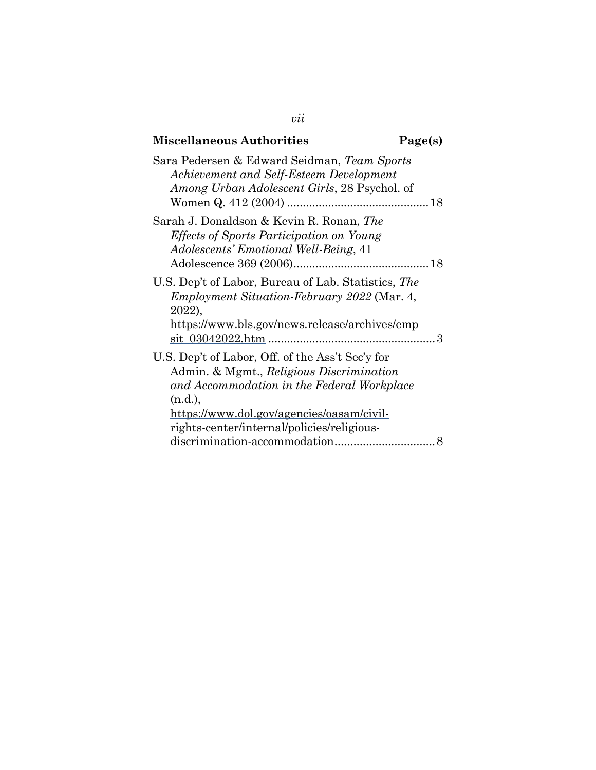| <b>Miscellaneous Authorities</b>                                                                                                                                                                                                                 | Page(s) |
|--------------------------------------------------------------------------------------------------------------------------------------------------------------------------------------------------------------------------------------------------|---------|
| Sara Pedersen & Edward Seidman, Team Sports<br>Achievement and Self-Esteem Development<br>Among Urban Adolescent Girls, 28 Psychol. of                                                                                                           |         |
| Sarah J. Donaldson & Kevin R. Ronan, The<br><i>Effects of Sports Participation on Young</i><br>Adolescents' Emotional Well-Being, 41                                                                                                             |         |
| U.S. Dep't of Labor, Bureau of Lab. Statistics, The<br><i>Employment Situation-February 2022</i> (Mar. 4,<br>2022),<br>https://www.bls.gov/news.release/archives/emp                                                                             |         |
| U.S. Dep't of Labor, Off. of the Ass't Sec'y for<br>Admin. & Mgmt., Religious Discrimination<br>and Accommodation in the Federal Workplace<br>(n.d.),<br>https://www.dol.gov/agencies/oasam/civil-<br>rights-center/internal/policies/religious- |         |
|                                                                                                                                                                                                                                                  | 8       |

*vii*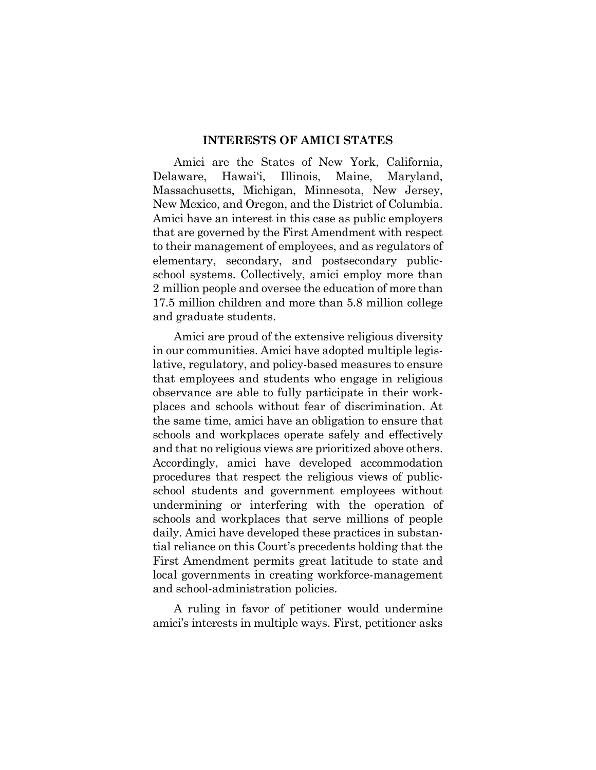#### **INTERESTS OF AMICI STATES**

Amici are the States of New York, California, Delaware, Hawai'i, Illinois, Maine, Maryland, Massachusetts, Michigan, Minnesota, New Jersey, New Mexico, and Oregon, and the District of Columbia. Amici have an interest in this case as public employers that are governed by the First Amendment with respect to their management of employees, and as regulators of elementary, secondary, and postsecondary publicschool systems. Collectively, amici employ more than 2 million people and oversee the education of more than 17.5 million children and more than 5.8 million college and graduate students.

Amici are proud of the extensive religious diversity in our communities. Amici have adopted multiple legislative, regulatory, and policy-based measures to ensure that employees and students who engage in religious observance are able to fully participate in their workplaces and schools without fear of discrimination. At the same time, amici have an obligation to ensure that schools and workplaces operate safely and effectively and that no religious views are prioritized above others. Accordingly, amici have developed accommodation procedures that respect the religious views of publicschool students and government employees without undermining or interfering with the operation of schools and workplaces that serve millions of people daily. Amici have developed these practices in substantial reliance on this Court's precedents holding that the First Amendment permits great latitude to state and local governments in creating workforce-management and school-administration policies.

A ruling in favor of petitioner would undermine amici's interests in multiple ways. First, petitioner asks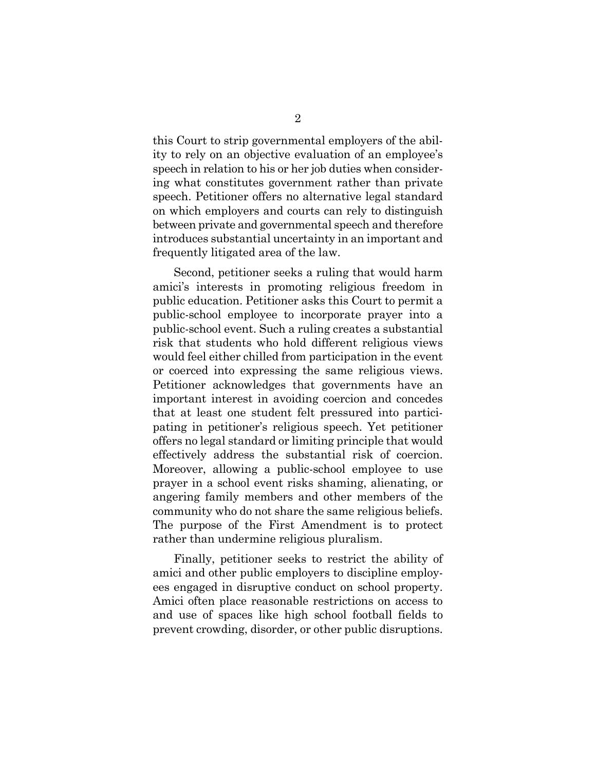this Court to strip governmental employers of the ability to rely on an objective evaluation of an employee's speech in relation to his or her job duties when considering what constitutes government rather than private speech. Petitioner offers no alternative legal standard on which employers and courts can rely to distinguish between private and governmental speech and therefore introduces substantial uncertainty in an important and frequently litigated area of the law.

Second, petitioner seeks a ruling that would harm amici's interests in promoting religious freedom in public education. Petitioner asks this Court to permit a public-school employee to incorporate prayer into a public-school event. Such a ruling creates a substantial risk that students who hold different religious views would feel either chilled from participation in the event or coerced into expressing the same religious views. Petitioner acknowledges that governments have an important interest in avoiding coercion and concedes that at least one student felt pressured into participating in petitioner's religious speech. Yet petitioner offers no legal standard or limiting principle that would effectively address the substantial risk of coercion. Moreover, allowing a public-school employee to use prayer in a school event risks shaming, alienating, or angering family members and other members of the community who do not share the same religious beliefs. The purpose of the First Amendment is to protect rather than undermine religious pluralism.

Finally, petitioner seeks to restrict the ability of amici and other public employers to discipline employees engaged in disruptive conduct on school property. Amici often place reasonable restrictions on access to and use of spaces like high school football fields to prevent crowding, disorder, or other public disruptions.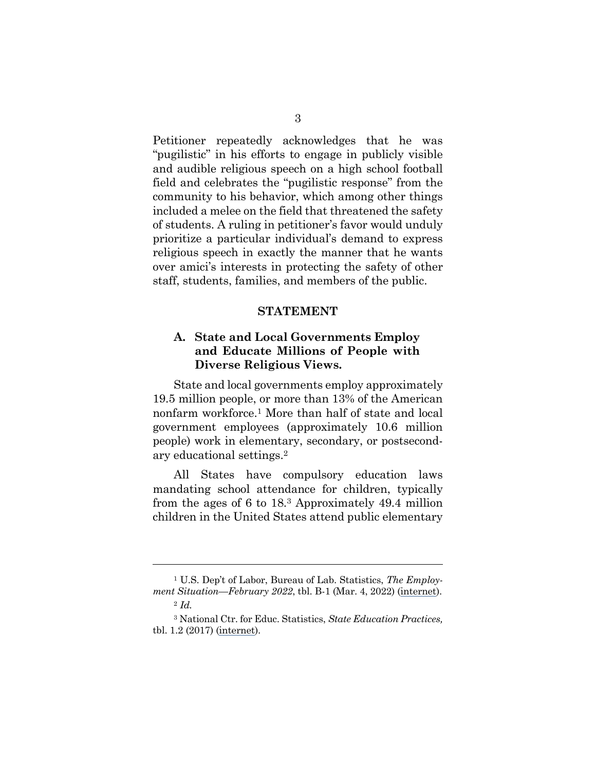Petitioner repeatedly acknowledges that he was "pugilistic" in his efforts to engage in publicly visible and audible religious speech on a high school football field and celebrates the "pugilistic response" from the community to his behavior, which among other things included a melee on the field that threatened the safety of students. A ruling in petitioner's favor would unduly prioritize a particular individual's demand to express religious speech in exactly the manner that he wants over amici's interests in protecting the safety of other staff, students, families, and members of the public.

#### **STATEMENT**

## **A. State and Local Governments Employ and Educate Millions of People with Diverse Religious Views.**

State and local governments employ approximately 19.5 million people, or more than 13% of the American nonfarm workforce.1 More than half of state and local government employees (approximately 10.6 million people) work in elementary, secondary, or postsecondary educational settings.2

All States have compulsory education laws mandating school attendance for children, typically from the ages of 6 to 18.3 Approximately 49.4 million children in the United States attend public elementary

<sup>1</sup> U.S. Dep't of Labor, Bureau of Lab. Statistics, *The Employment Situation—February 2022*, tbl. B-1 (Mar. 4, 2022) ([internet](https://www.bls.gov/news.release/archives/empsit_03042022.htm)). <sup>2</sup> *Id.*

<sup>3</sup> National Ctr. for Educ. Statistics, *State Education Practices,*  tbl. 1.2 (2017) [\(internet\)](https://nces.ed.gov/programs/statereform/tab1_2-2020.asp).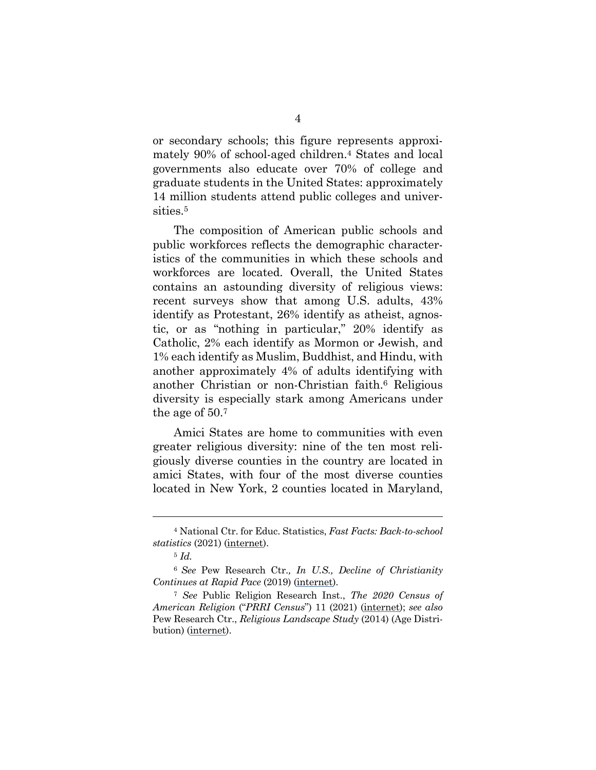or secondary schools; this figure represents approximately 90% of school-aged children.4 States and local governments also educate over 70% of college and graduate students in the United States: approximately 14 million students attend public colleges and universities.5

The composition of American public schools and public workforces reflects the demographic characteristics of the communities in which these schools and workforces are located. Overall, the United States contains an astounding diversity of religious views: recent surveys show that among U.S. adults, 43% identify as Protestant, 26% identify as atheist, agnostic, or as "nothing in particular," 20% identify as Catholic, 2% each identify as Mormon or Jewish, and 1% each identify as Muslim, Buddhist, and Hindu, with another approximately 4% of adults identifying with another Christian or non-Christian faith.6 Religious diversity is especially stark among Americans under the age of 50.7

Amici States are home to communities with even greater religious diversity: nine of the ten most religiously diverse counties in the country are located in amici States, with four of the most diverse counties located in New York, 2 counties located in Maryland,

<sup>4</sup> National Ctr. for Educ. Statistics, *Fast Facts: Back-to-school statistics* (2021) [\(internet](https://nces.ed.gov/fastfacts/display.asp?id=372)).

<sup>5</sup> *Id.*

<sup>6</sup>*See* Pew Research Ctr.*, In U.S., Decline of Christianity Continues at Rapid Pace* (2019) [\(internet\)](https://www.pewforum.org/2019/10/17/in-u-s-decline-of-christianity-continues-at-rapid-pace/).

<sup>7</sup> *See* Public Religion Research Inst., *The 2020 Census of American Religion* ("*PRRI Census*") 11 (2021) ([internet\)](https://www.prri.org/wp-content/uploads/2021/07/PRRI-Jul-2021-Religion.pdf); *see also*  Pew Research Ctr., *Religious Landscape Study* (2014) (Age Distribution) [\(internet](https://www.pewforum.org/religious-landscape-study/age-distribution/)).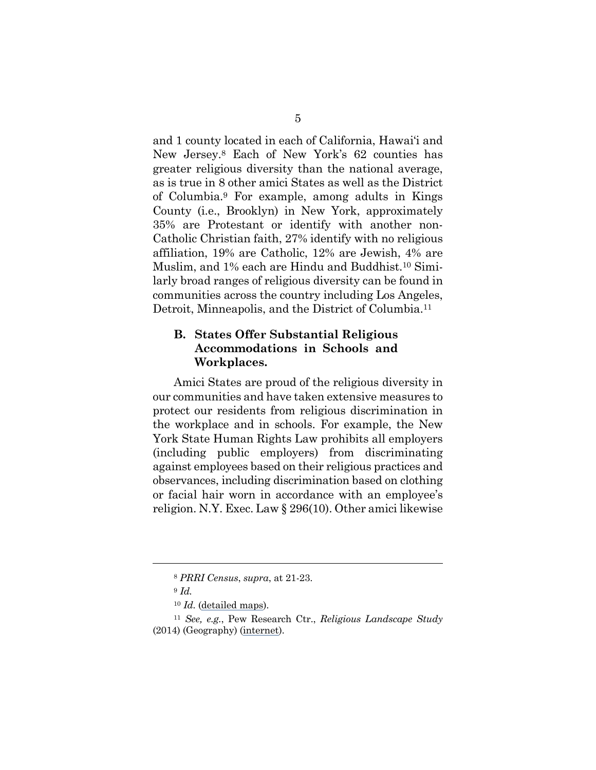and 1 county located in each of California, Hawai'i and New Jersey.8 Each of New York's 62 counties has greater religious diversity than the national average, as is true in 8 other amici States as well as the District of Columbia.9 For example, among adults in Kings County (i.e., Brooklyn) in New York, approximately 35% are Protestant or identify with another non-Catholic Christian faith, 27% identify with no religious affiliation, 19% are Catholic, 12% are Jewish, 4% are Muslim, and 1% each are Hindu and Buddhist.10 Similarly broad ranges of religious diversity can be found in communities across the country including Los Angeles, Detroit, Minneapolis, and the District of Columbia.<sup>11</sup>

## **B. States Offer Substantial Religious Accommodations in Schools and Workplaces.**

Amici States are proud of the religious diversity in our communities and have taken extensive measures to protect our residents from religious discrimination in the workplace and in schools. For example, the New York State Human Rights Law prohibits all employers (including public employers) from discriminating against employees based on their religious practices and observances, including discrimination based on clothing or facial hair worn in accordance with an employee's religion. N.Y. Exec. Law § 296(10). Other amici likewise

<sup>8</sup> *PRRI Census*, *supra*, at 21-23.

<sup>9</sup> *Id.*

<sup>10</sup> *Id.* [\(detailed maps\)](https://www.prri.org/research/2020-census-of-american-religion/).

<sup>11</sup> *See, e.g.*, Pew Research Ctr., *Religious Landscape Study* (2014) (Geography) ([internet\)](https://www.pewresearch.org/religion/religious-landscape-study/#geography).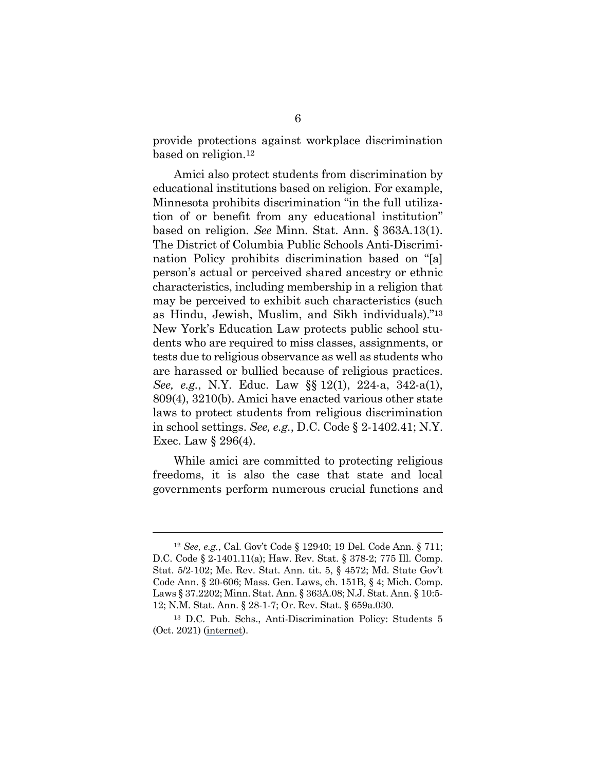provide protections against workplace discrimination based on religion.12

Amici also protect students from discrimination by educational institutions based on religion. For example, Minnesota prohibits discrimination "in the full utilization of or benefit from any educational institution" based on religion. *See* Minn. Stat. Ann. § 363A.13(1). The District of Columbia Public Schools Anti-Discrimination Policy prohibits discrimination based on "[a] person's actual or perceived shared ancestry or ethnic characteristics, including membership in a religion that may be perceived to exhibit such characteristics (such as Hindu, Jewish, Muslim, and Sikh individuals)."13 New York's Education Law protects public school students who are required to miss classes, assignments, or tests due to religious observance as well as students who are harassed or bullied because of religious practices. *See, e.g.*, N.Y. Educ. Law §§ 12(1), 224-a, 342-a(1), 809(4), 3210(b). Amici have enacted various other state laws to protect students from religious discrimination in school settings. *See, e.g.*, D.C. Code § 2-1402.41; N.Y. Exec. Law § 296(4).

While amici are committed to protecting religious freedoms, it is also the case that state and local governments perform numerous crucial functions and

<sup>12</sup> *See, e.g.*, Cal. Gov't Code § 12940; 19 Del. Code Ann. § 711; D.C. Code § 2-1401.11(a); Haw. Rev. Stat. § 378-2; 775 Ill. Comp. Stat. 5/2-102; Me. Rev. Stat. Ann. tit. 5, § 4572; Md. State Gov't Code Ann. § 20-606; Mass. Gen. Laws, ch. 151B, § 4; Mich. Comp. Laws § 37.2202; Minn. Stat. Ann. § 363A.08; N.J. Stat. Ann. § 10:5- 12; N.M. Stat. Ann. § 28-1-7; Or. Rev. Stat. § 659a.030.

<sup>13</sup> D.C. Pub. Schs., Anti-Discrimination Policy: Students 5 (Oct. 2021) [\(internet](https://dcps.dc.gov/sites/default/files/dc/sites/dcps/page_content/attachments/Anti-Discrimination-Policy_Students.pdf)).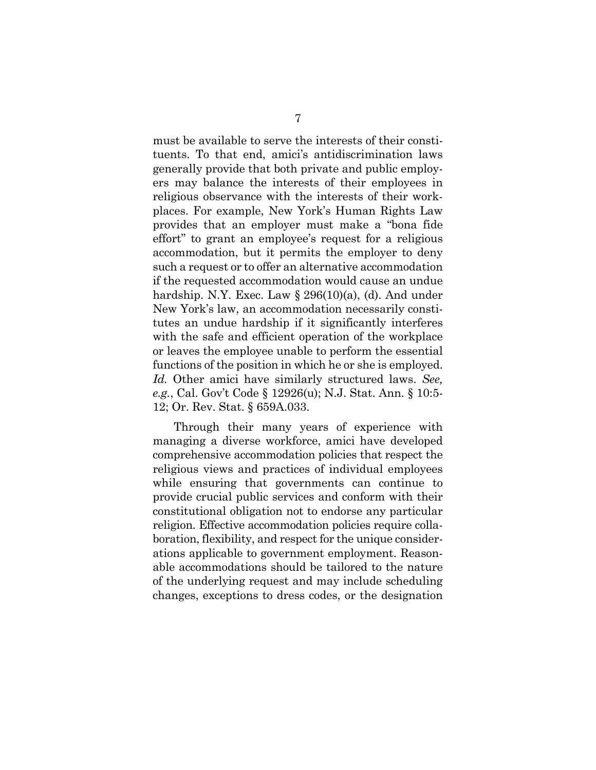must be available to serve the interests of their constituents. To that end, amici's antidiscrimination laws generally provide that both private and public employers may balance the interests of their employees in religious observance with the interests of their workplaces. For example, New York's Human Rights Law provides that an employer must make a "bona fide effort" to grant an employee's request for a religious accommodation, but it permits the employer to deny such a request or to offer an alternative accommodation if the requested accommodation would cause an undue hardship. N.Y. Exec. Law  $\S 296(10)(a)$ , (d). And under New York's law, an accommodation necessarily constitutes an undue hardship if it significantly interferes with the safe and efficient operation of the workplace or leaves the employee unable to perform the essential functions of the position in which he or she is employed. *Id.* Other amici have similarly structured laws. *See, e.g.*, Cal. Gov't Code § 12926(u); N.J. Stat. Ann. § 10:5- 12; Or. Rev. Stat. § 659A.033.

Through their many years of experience with managing a diverse workforce, amici have developed comprehensive accommodation policies that respect the religious views and practices of individual employees while ensuring that governments can continue to provide crucial public services and conform with their constitutional obligation not to endorse any particular religion. Effective accommodation policies require collaboration, flexibility, and respect for the unique considerations applicable to government employment. Reasonable accommodations should be tailored to the nature of the underlying request and may include scheduling changes, exceptions to dress codes, or the designation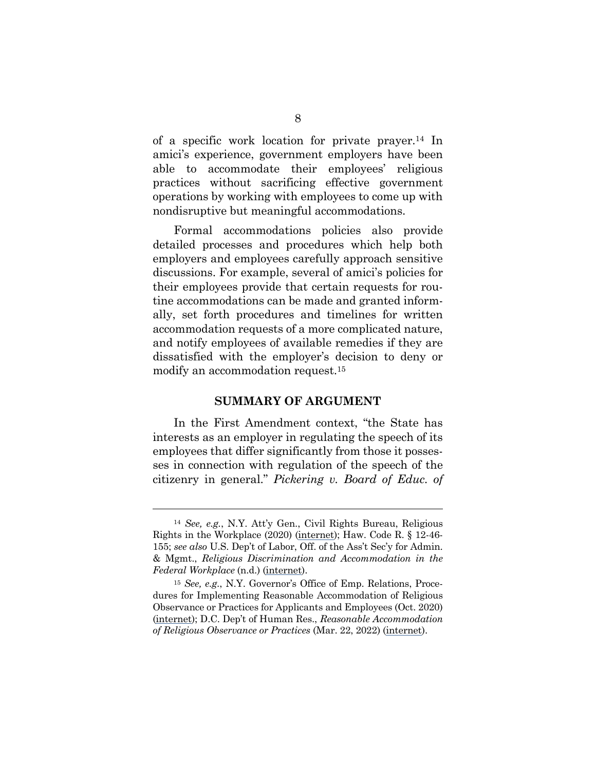of a specific work location for private prayer.14 In amici's experience, government employers have been able to accommodate their employees' religious practices without sacrificing effective government operations by working with employees to come up with nondisruptive but meaningful accommodations.

Formal accommodations policies also provide detailed processes and procedures which help both employers and employees carefully approach sensitive discussions. For example, several of amici's policies for their employees provide that certain requests for routine accommodations can be made and granted informally, set forth procedures and timelines for written accommodation requests of a more complicated nature, and notify employees of available remedies if they are dissatisfied with the employer's decision to deny or modify an accommodation request.15

#### **SUMMARY OF ARGUMENT**

In the First Amendment context, "the State has interests as an employer in regulating the speech of its employees that differ significantly from those it possesses in connection with regulation of the speech of the citizenry in general." *Pickering v. Board of Educ. of* 

<sup>14</sup> *See, e.g.*, N.Y. Att'y Gen., Civil Rights Bureau, Religious Rights in the Workplace (2020) [\(internet](https://ag.ny.gov/sites/default/files/religious_rights_in_the_workplace.pdf)); Haw. Code R. § 12-46- 155; *see also* U.S. Dep't of Labor, Off. of the Ass't Sec'y for Admin. & Mgmt., *Religious Discrimination and Accommodation in the Federal Workplace* (n.d.) [\(internet](https://www.dol.gov/agencies/oasam/civil-rights-center/internal/policies/religious-discrimination-accommodation)).

<sup>15</sup> *See, e.g.*, N.Y. Governor's Office of Emp. Relations, Procedures for Implementing Reasonable Accommodation of Religious Observance or Practices for Applicants and Employees (Oct. 2020) [\(internet\)](https://goer.ny.gov/system/files/documents/2020/10/reasonableaccommodationreligion.pdf); D.C. Dep't of Human Res., *Reasonable Accommodation of Religious Observance or Practices* (Mar. 22, 2022) ([internet\)](https://edpm.dc.gov/issuances/reasonable-accommodation-religious-observance-or-practice-march-2022/).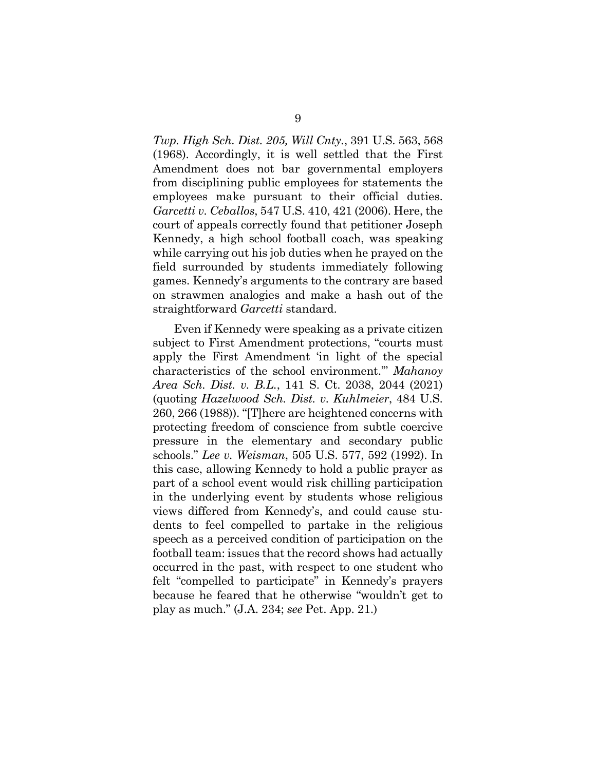*Twp. High Sch. Dist. 205, Will Cnty.*, 391 U.S. 563, 568 (1968). Accordingly, it is well settled that the First Amendment does not bar governmental employers from disciplining public employees for statements the employees make pursuant to their official duties. *Garcetti v. Ceballos*, 547 U.S. 410, 421 (2006). Here, the court of appeals correctly found that petitioner Joseph Kennedy, a high school football coach, was speaking while carrying out his job duties when he prayed on the field surrounded by students immediately following games. Kennedy's arguments to the contrary are based on strawmen analogies and make a hash out of the straightforward *Garcetti* standard.

Even if Kennedy were speaking as a private citizen subject to First Amendment protections, "courts must apply the First Amendment 'in light of the special characteristics of the school environment.'" *Mahanoy Area Sch. Dist. v. B.L.*, 141 S. Ct. 2038, 2044 (2021) (quoting *Hazelwood Sch. Dist. v. Kuhlmeier*, 484 U.S. 260, 266 (1988)). "[T]here are heightened concerns with protecting freedom of conscience from subtle coercive pressure in the elementary and secondary public schools." *Lee v. Weisman*, 505 U.S. 577, 592 (1992). In this case, allowing Kennedy to hold a public prayer as part of a school event would risk chilling participation in the underlying event by students whose religious views differed from Kennedy's, and could cause students to feel compelled to partake in the religious speech as a perceived condition of participation on the football team: issues that the record shows had actually occurred in the past, with respect to one student who felt "compelled to participate" in Kennedy's prayers because he feared that he otherwise "wouldn't get to play as much." (J.A. 234; *see* Pet. App. 21.)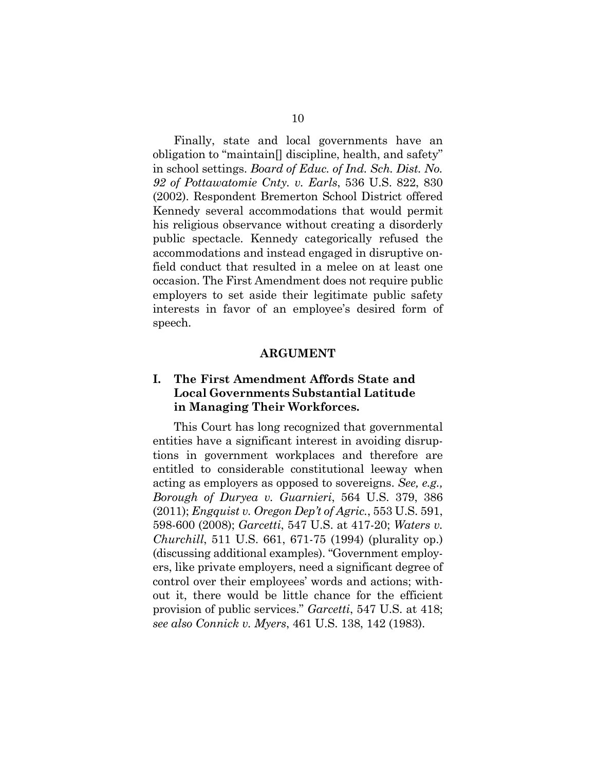Finally, state and local governments have an obligation to "maintain[] discipline, health, and safety" in school settings. *Board of Educ. of Ind. Sch. Dist. No. 92 of Pottawatomie Cnty. v. Earls*, 536 U.S. 822, 830 (2002). Respondent Bremerton School District offered Kennedy several accommodations that would permit his religious observance without creating a disorderly public spectacle. Kennedy categorically refused the accommodations and instead engaged in disruptive onfield conduct that resulted in a melee on at least one occasion. The First Amendment does not require public employers to set aside their legitimate public safety interests in favor of an employee's desired form of speech.

#### **ARGUMENT**

# **I. The First Amendment Affords State and Local Governments Substantial Latitude in Managing Their Workforces.**

This Court has long recognized that governmental entities have a significant interest in avoiding disruptions in government workplaces and therefore are entitled to considerable constitutional leeway when acting as employers as opposed to sovereigns. *See, e.g., Borough of Duryea v. Guarnieri*, 564 U.S. 379, 386 (2011); *Engquist v. Oregon Dep't of Agric.*, 553 U.S. 591, 598-600 (2008); *Garcetti*, 547 U.S. at 417-20; *Waters v. Churchill*, 511 U.S. 661, 671-75 (1994) (plurality op.) (discussing additional examples). "Government employers, like private employers, need a significant degree of control over their employees' words and actions; without it, there would be little chance for the efficient provision of public services." *Garcetti*, 547 U.S. at 418; *see also Connick v. Myers*, 461 U.S. 138, 142 (1983).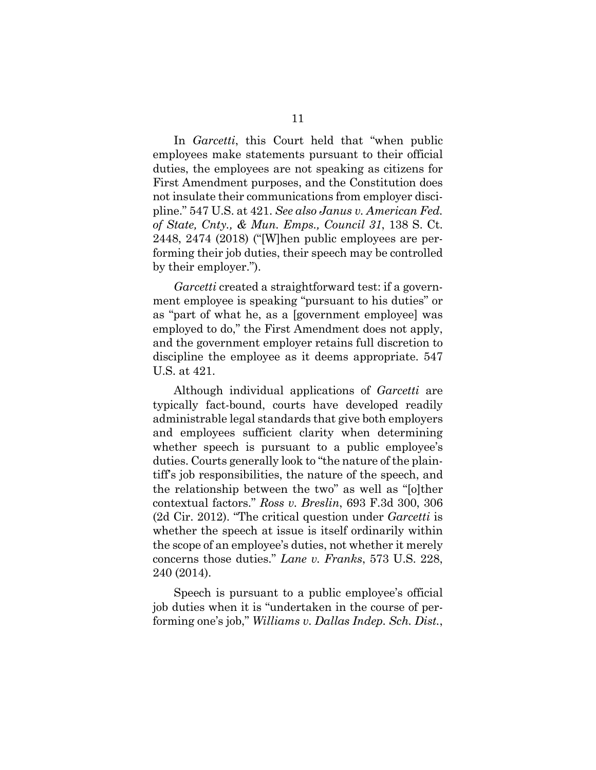In *Garcetti*, this Court held that "when public employees make statements pursuant to their official duties, the employees are not speaking as citizens for First Amendment purposes, and the Constitution does not insulate their communications from employer discipline." 547 U.S. at 421. *See also Janus v. American Fed. of State, Cnty., & Mun. Emps., Council 31*, 138 S. Ct. 2448, 2474 (2018) ("[W]hen public employees are performing their job duties, their speech may be controlled by their employer.").

*Garcetti* created a straightforward test: if a government employee is speaking "pursuant to his duties" or as "part of what he, as a [government employee] was employed to do," the First Amendment does not apply, and the government employer retains full discretion to discipline the employee as it deems appropriate. 547 U.S. at 421.

Although individual applications of *Garcetti* are typically fact-bound, courts have developed readily administrable legal standards that give both employers and employees sufficient clarity when determining whether speech is pursuant to a public employee's duties. Courts generally look to "the nature of the plaintiff's job responsibilities, the nature of the speech, and the relationship between the two" as well as "[o]ther contextual factors." *Ross v. Breslin*, 693 F.3d 300, 306 (2d Cir. 2012). "The critical question under *Garcetti* is whether the speech at issue is itself ordinarily within the scope of an employee's duties, not whether it merely concerns those duties." *Lane v. Franks*, 573 U.S. 228, 240 (2014).

Speech is pursuant to a public employee's official job duties when it is "undertaken in the course of performing one's job," *Williams v. Dallas Indep. Sch. Dist.*,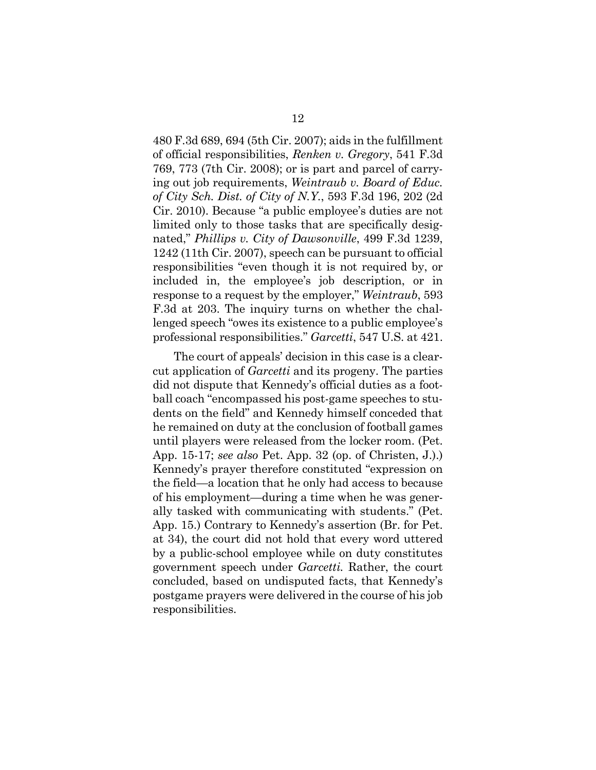480 F.3d 689, 694 (5th Cir. 2007); aids in the fulfillment of official responsibilities, *Renken v. Gregory*, 541 F.3d 769, 773 (7th Cir. 2008); or is part and parcel of carrying out job requirements, *Weintraub v. Board of Educ. of City Sch. Dist. of City of N.Y.*, 593 F.3d 196, 202 (2d Cir. 2010). Because "a public employee's duties are not limited only to those tasks that are specifically designated," *Phillips v. City of Dawsonville*, 499 F.3d 1239, 1242 (11th Cir. 2007), speech can be pursuant to official responsibilities "even though it is not required by, or included in, the employee's job description, or in response to a request by the employer," *Weintraub*, 593 F.3d at 203. The inquiry turns on whether the challenged speech "owes its existence to a public employee's professional responsibilities." *Garcetti*, 547 U.S. at 421.

The court of appeals' decision in this case is a clearcut application of *Garcetti* and its progeny. The parties did not dispute that Kennedy's official duties as a football coach "encompassed his post-game speeches to students on the field" and Kennedy himself conceded that he remained on duty at the conclusion of football games until players were released from the locker room. (Pet. App. 15-17; *see also* Pet. App. 32 (op. of Christen, J.).) Kennedy's prayer therefore constituted "expression on the field—a location that he only had access to because of his employment—during a time when he was generally tasked with communicating with students." (Pet. App. 15.) Contrary to Kennedy's assertion (Br. for Pet. at 34), the court did not hold that every word uttered by a public-school employee while on duty constitutes government speech under *Garcetti.* Rather, the court concluded, based on undisputed facts, that Kennedy's postgame prayers were delivered in the course of his job responsibilities.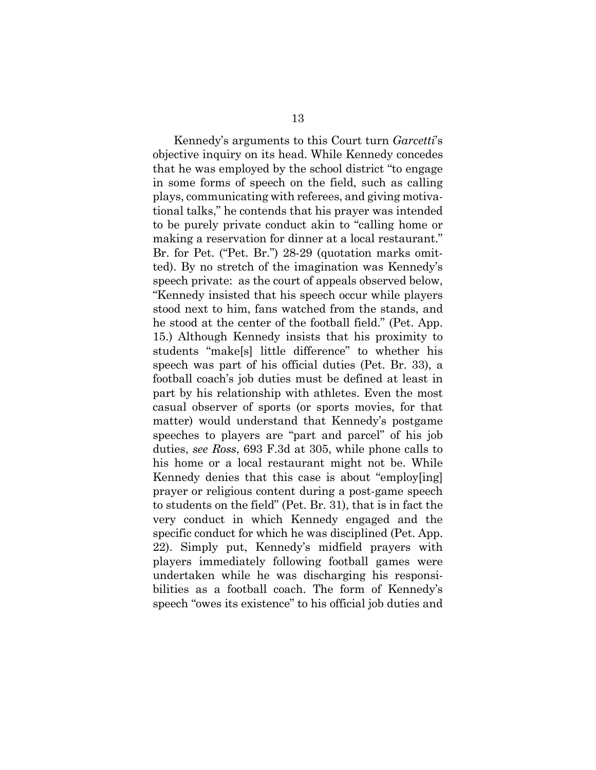Kennedy's arguments to this Court turn *Garcetti*'s objective inquiry on its head. While Kennedy concedes that he was employed by the school district "to engage in some forms of speech on the field, such as calling plays, communicating with referees, and giving motivational talks," he contends that his prayer was intended to be purely private conduct akin to "calling home or making a reservation for dinner at a local restaurant." Br. for Pet. ("Pet. Br.") 28-29 (quotation marks omitted). By no stretch of the imagination was Kennedy's speech private: as the court of appeals observed below, "Kennedy insisted that his speech occur while players stood next to him, fans watched from the stands, and he stood at the center of the football field." (Pet. App. 15.) Although Kennedy insists that his proximity to students "make[s] little difference" to whether his speech was part of his official duties (Pet. Br. 33), a football coach's job duties must be defined at least in part by his relationship with athletes. Even the most casual observer of sports (or sports movies, for that matter) would understand that Kennedy's postgame speeches to players are "part and parcel" of his job duties, *see Ross*, 693 F.3d at 305, while phone calls to his home or a local restaurant might not be. While Kennedy denies that this case is about "employ[ing] prayer or religious content during a post-game speech to students on the field" (Pet. Br. 31), that is in fact the very conduct in which Kennedy engaged and the specific conduct for which he was disciplined (Pet. App. 22). Simply put, Kennedy's midfield prayers with players immediately following football games were undertaken while he was discharging his responsibilities as a football coach. The form of Kennedy's speech "owes its existence" to his official job duties and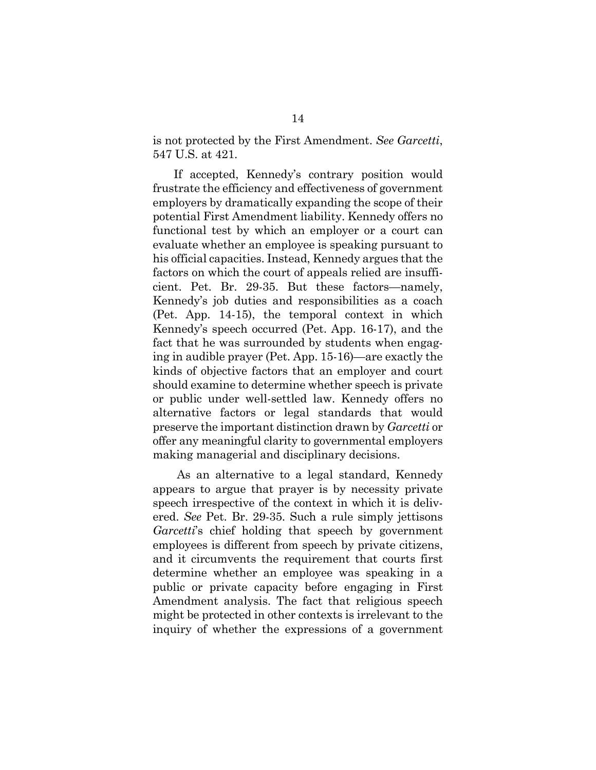is not protected by the First Amendment. *See Garcetti*, 547 U.S. at 421.

If accepted, Kennedy's contrary position would frustrate the efficiency and effectiveness of government employers by dramatically expanding the scope of their potential First Amendment liability. Kennedy offers no functional test by which an employer or a court can evaluate whether an employee is speaking pursuant to his official capacities. Instead, Kennedy argues that the factors on which the court of appeals relied are insufficient. Pet. Br. 29-35. But these factors—namely, Kennedy's job duties and responsibilities as a coach (Pet. App. 14-15), the temporal context in which Kennedy's speech occurred (Pet. App. 16-17), and the fact that he was surrounded by students when engaging in audible prayer (Pet. App. 15-16)—are exactly the kinds of objective factors that an employer and court should examine to determine whether speech is private or public under well-settled law. Kennedy offers no alternative factors or legal standards that would preserve the important distinction drawn by *Garcetti* or offer any meaningful clarity to governmental employers making managerial and disciplinary decisions.

 As an alternative to a legal standard, Kennedy appears to argue that prayer is by necessity private speech irrespective of the context in which it is delivered. *See* Pet. Br. 29-35. Such a rule simply jettisons *Garcetti*'s chief holding that speech by government employees is different from speech by private citizens, and it circumvents the requirement that courts first determine whether an employee was speaking in a public or private capacity before engaging in First Amendment analysis. The fact that religious speech might be protected in other contexts is irrelevant to the inquiry of whether the expressions of a government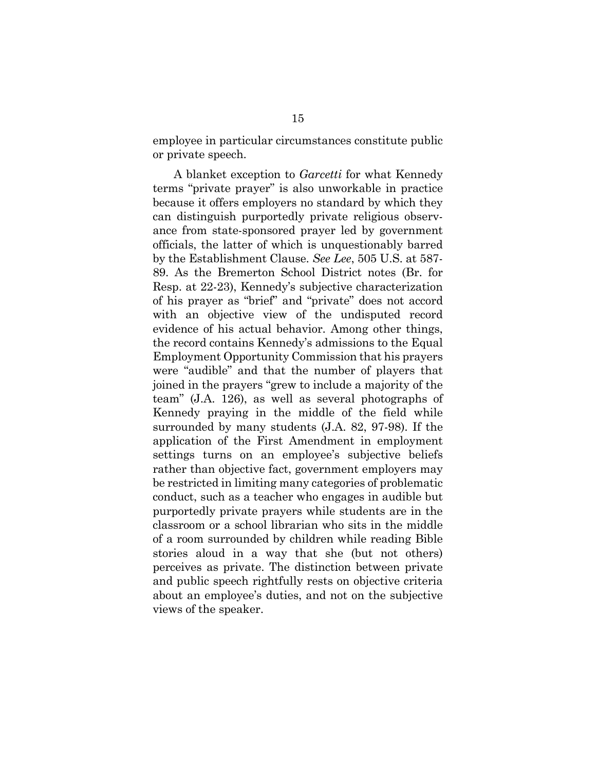employee in particular circumstances constitute public or private speech.

A blanket exception to *Garcetti* for what Kennedy terms "private prayer" is also unworkable in practice because it offers employers no standard by which they can distinguish purportedly private religious observance from state-sponsored prayer led by government officials, the latter of which is unquestionably barred by the Establishment Clause. *See Lee*, 505 U.S. at 587- 89. As the Bremerton School District notes (Br. for Resp. at 22-23), Kennedy's subjective characterization of his prayer as "brief" and "private" does not accord with an objective view of the undisputed record evidence of his actual behavior. Among other things, the record contains Kennedy's admissions to the Equal Employment Opportunity Commission that his prayers were "audible" and that the number of players that joined in the prayers "grew to include a majority of the team" (J.A. 126), as well as several photographs of Kennedy praying in the middle of the field while surrounded by many students (J.A. 82, 97-98). If the application of the First Amendment in employment settings turns on an employee's subjective beliefs rather than objective fact, government employers may be restricted in limiting many categories of problematic conduct, such as a teacher who engages in audible but purportedly private prayers while students are in the classroom or a school librarian who sits in the middle of a room surrounded by children while reading Bible stories aloud in a way that she (but not others) perceives as private. The distinction between private and public speech rightfully rests on objective criteria about an employee's duties, and not on the subjective views of the speaker.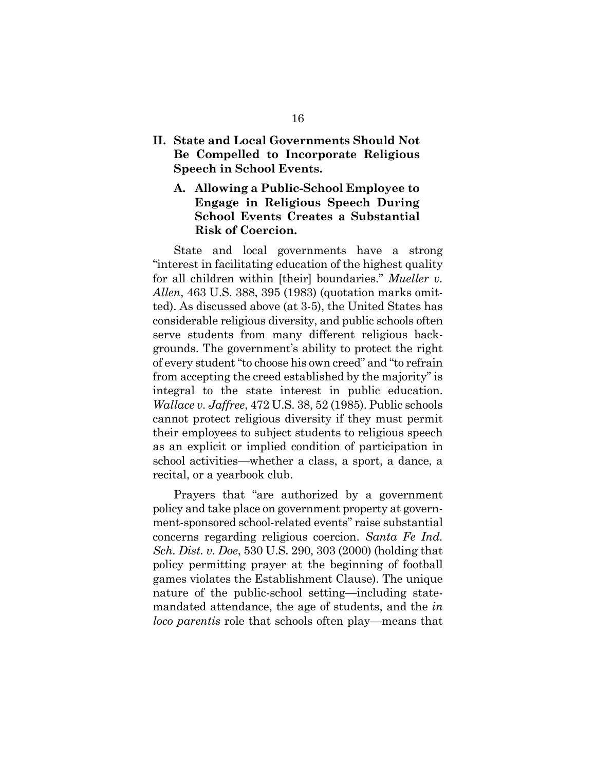- **II. State and Local Governments Should Not Be Compelled to Incorporate Religious Speech in School Events.** 
	- **A. Allowing a Public-School Employee to Engage in Religious Speech During School Events Creates a Substantial Risk of Coercion.**

State and local governments have a strong "interest in facilitating education of the highest quality for all children within [their] boundaries." *Mueller v. Allen*, 463 U.S. 388, 395 (1983) (quotation marks omitted). As discussed above (at 3-5), the United States has considerable religious diversity, and public schools often serve students from many different religious backgrounds. The government's ability to protect the right of every student "to choose his own creed" and "to refrain from accepting the creed established by the majority" is integral to the state interest in public education. *Wallace v. Jaffree*, 472 U.S. 38, 52 (1985). Public schools cannot protect religious diversity if they must permit their employees to subject students to religious speech as an explicit or implied condition of participation in school activities—whether a class, a sport, a dance, a recital, or a yearbook club.

Prayers that "are authorized by a government policy and take place on government property at government-sponsored school-related events" raise substantial concerns regarding religious coercion. *Santa Fe Ind. Sch. Dist. v. Doe*, 530 U.S. 290, 303 (2000) (holding that policy permitting prayer at the beginning of football games violates the Establishment Clause). The unique nature of the public-school setting—including statemandated attendance, the age of students, and the *in loco parentis* role that schools often play—means that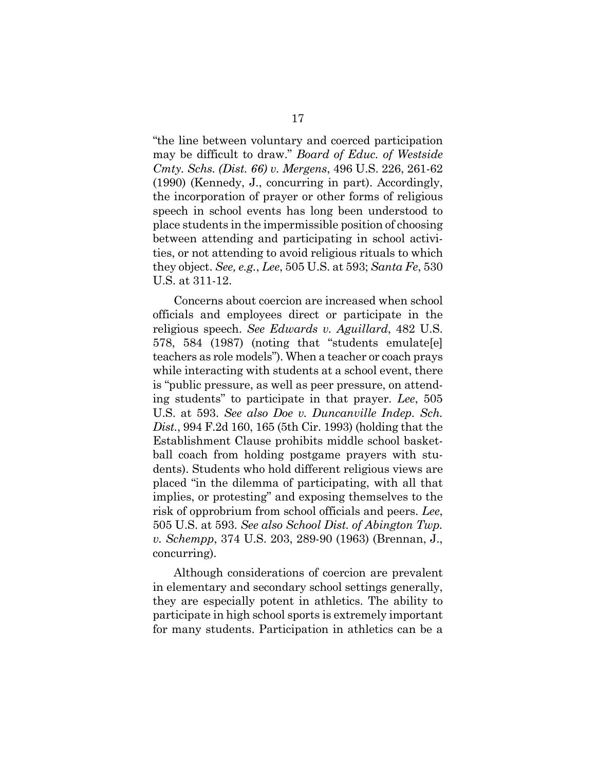"the line between voluntary and coerced participation may be difficult to draw." *Board of Educ. of Westside Cmty. Schs. (Dist. 66) v. Mergens*, 496 U.S. 226, 261-62 (1990) (Kennedy, J., concurring in part). Accordingly, the incorporation of prayer or other forms of religious speech in school events has long been understood to place students in the impermissible position of choosing between attending and participating in school activities, or not attending to avoid religious rituals to which they object. *See, e.g.*, *Lee*, 505 U.S. at 593; *Santa Fe*, 530 U.S. at 311-12.

Concerns about coercion are increased when school officials and employees direct or participate in the religious speech. *See Edwards v. Aguillard*, 482 U.S. 578, 584 (1987) (noting that "students emulate[e] teachers as role models"). When a teacher or coach prays while interacting with students at a school event, there is "public pressure, as well as peer pressure, on attending students" to participate in that prayer. *Lee*, 505 U.S. at 593. *See also Doe v. Duncanville Indep. Sch. Dist.*, 994 F.2d 160, 165 (5th Cir. 1993) (holding that the Establishment Clause prohibits middle school basketball coach from holding postgame prayers with students). Students who hold different religious views are placed "in the dilemma of participating, with all that implies, or protesting" and exposing themselves to the risk of opprobrium from school officials and peers. *Lee*, 505 U.S. at 593. *See also School Dist. of Abington Twp. v. Schempp*, 374 U.S. 203, 289-90 (1963) (Brennan, J., concurring).

Although considerations of coercion are prevalent in elementary and secondary school settings generally, they are especially potent in athletics. The ability to participate in high school sports is extremely important for many students. Participation in athletics can be a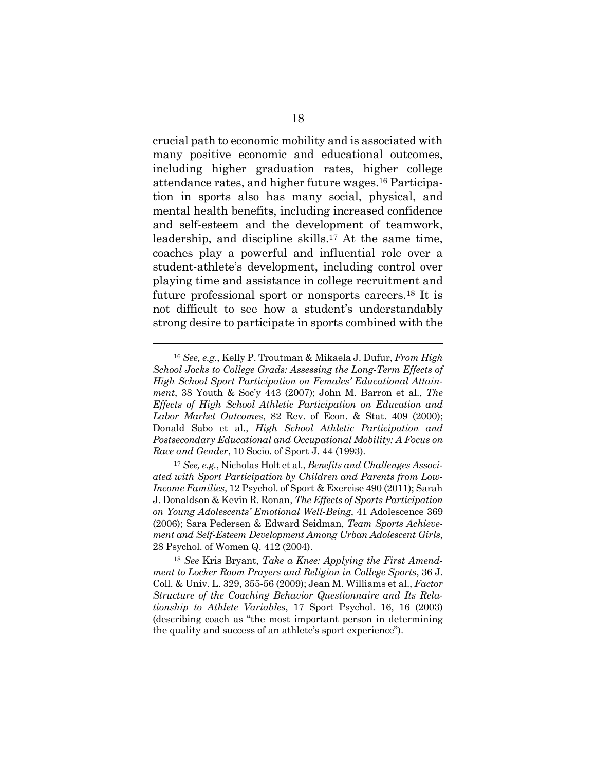crucial path to economic mobility and is associated with many positive economic and educational outcomes, including higher graduation rates, higher college attendance rates, and higher future wages.16 Participation in sports also has many social, physical, and mental health benefits, including increased confidence and self-esteem and the development of teamwork, leadership, and discipline skills.17 At the same time, coaches play a powerful and influential role over a student-athlete's development, including control over playing time and assistance in college recruitment and future professional sport or nonsports careers.18 It is not difficult to see how a student's understandably strong desire to participate in sports combined with the

<sup>16</sup> *See, e.g.*, Kelly P. Troutman & Mikaela J. Dufur, *From High School Jocks to College Grads: Assessing the Long-Term Effects of High School Sport Participation on Females' Educational Attainment*, 38 Youth & Soc'y 443 (2007); John M. Barron et al., *The Effects of High School Athletic Participation on Education and Labor Market Outcomes*, 82 Rev. of Econ. & Stat. 409 (2000); Donald Sabo et al., *High School Athletic Participation and Postsecondary Educational and Occupational Mobility: A Focus on Race and Gender*, 10 Socio. of Sport J. 44 (1993).

<sup>17</sup> *See, e.g.*, Nicholas Holt et al., *Benefits and Challenges Associated with Sport Participation by Children and Parents from Low-Income Families*, 12 Psychol. of Sport & Exercise 490 (2011); Sarah J. Donaldson & Kevin R. Ronan, *The Effects of Sports Participation on Young Adolescents' Emotional Well-Being*, 41 Adolescence 369 (2006); Sara Pedersen & Edward Seidman, *Team Sports Achievement and Self-Esteem Development Among Urban Adolescent Girls*, 28 Psychol. of Women Q. 412 (2004).

<sup>18</sup> *See* Kris Bryant, *Take a Knee: Applying the First Amendment to Locker Room Prayers and Religion in College Sports*, 36 J. Coll. & Univ. L. 329, 355-56 (2009); Jean M. Williams et al., *Factor Structure of the Coaching Behavior Questionnaire and Its Relationship to Athlete Variables*, 17 Sport Psychol. 16, 16 (2003) (describing coach as "the most important person in determining the quality and success of an athlete's sport experience").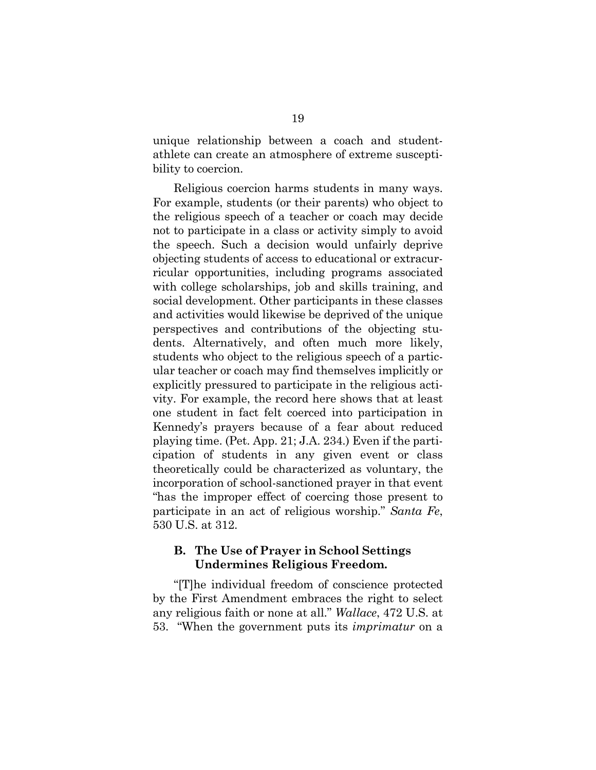unique relationship between a coach and studentathlete can create an atmosphere of extreme susceptibility to coercion.

Religious coercion harms students in many ways. For example, students (or their parents) who object to the religious speech of a teacher or coach may decide not to participate in a class or activity simply to avoid the speech. Such a decision would unfairly deprive objecting students of access to educational or extracurricular opportunities, including programs associated with college scholarships, job and skills training, and social development. Other participants in these classes and activities would likewise be deprived of the unique perspectives and contributions of the objecting students. Alternatively, and often much more likely, students who object to the religious speech of a particular teacher or coach may find themselves implicitly or explicitly pressured to participate in the religious activity. For example, the record here shows that at least one student in fact felt coerced into participation in Kennedy's prayers because of a fear about reduced playing time. (Pet. App. 21; J.A. 234.) Even if the participation of students in any given event or class theoretically could be characterized as voluntary, the incorporation of school-sanctioned prayer in that event "has the improper effect of coercing those present to participate in an act of religious worship." *Santa Fe*, 530 U.S. at 312.

### **B. The Use of Prayer in School Settings Undermines Religious Freedom.**

"[T]he individual freedom of conscience protected by the First Amendment embraces the right to select any religious faith or none at all." *Wallace*, 472 U.S. at 53. "When the government puts its *imprimatur* on a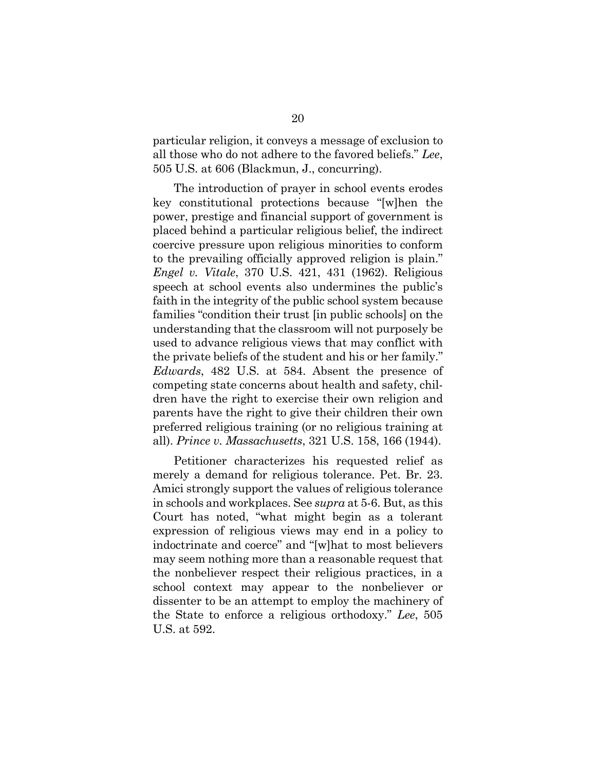particular religion, it conveys a message of exclusion to all those who do not adhere to the favored beliefs." *Lee*, 505 U.S. at 606 (Blackmun, J., concurring).

The introduction of prayer in school events erodes key constitutional protections because "[w]hen the power, prestige and financial support of government is placed behind a particular religious belief, the indirect coercive pressure upon religious minorities to conform to the prevailing officially approved religion is plain." *Engel v. Vitale*, 370 U.S. 421, 431 (1962). Religious speech at school events also undermines the public's faith in the integrity of the public school system because families "condition their trust [in public schools] on the understanding that the classroom will not purposely be used to advance religious views that may conflict with the private beliefs of the student and his or her family." *Edwards*, 482 U.S. at 584. Absent the presence of competing state concerns about health and safety, children have the right to exercise their own religion and parents have the right to give their children their own preferred religious training (or no religious training at all). *Prince v. Massachusetts*, 321 U.S. 158, 166 (1944).

Petitioner characterizes his requested relief as merely a demand for religious tolerance. Pet. Br. 23. Amici strongly support the values of religious tolerance in schools and workplaces. See *supra* at 5-6. But, as this Court has noted, "what might begin as a tolerant expression of religious views may end in a policy to indoctrinate and coerce" and "[w]hat to most believers may seem nothing more than a reasonable request that the nonbeliever respect their religious practices, in a school context may appear to the nonbeliever or dissenter to be an attempt to employ the machinery of the State to enforce a religious orthodoxy." *Lee*, 505 U.S. at 592.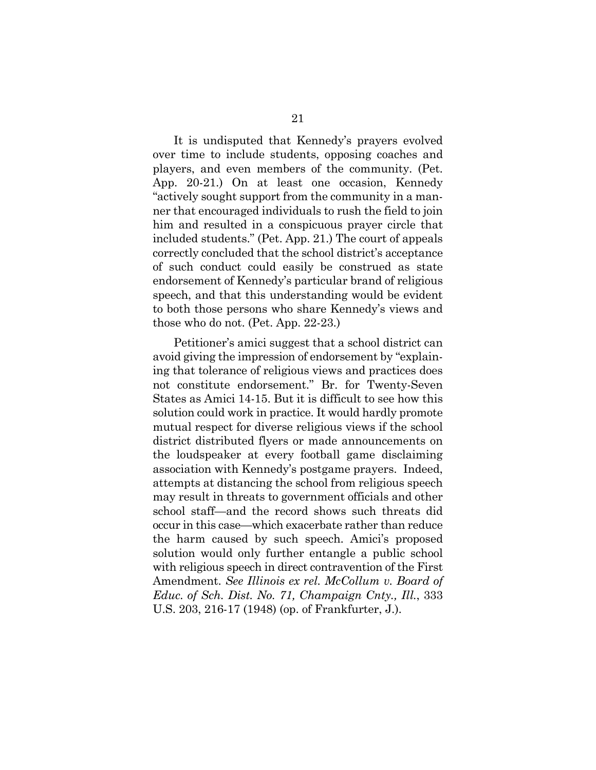It is undisputed that Kennedy's prayers evolved over time to include students, opposing coaches and players, and even members of the community. (Pet. App. 20-21.) On at least one occasion, Kennedy "actively sought support from the community in a manner that encouraged individuals to rush the field to join him and resulted in a conspicuous prayer circle that included students." (Pet. App. 21.) The court of appeals correctly concluded that the school district's acceptance of such conduct could easily be construed as state endorsement of Kennedy's particular brand of religious speech, and that this understanding would be evident to both those persons who share Kennedy's views and those who do not. (Pet. App. 22-23.)

Petitioner's amici suggest that a school district can avoid giving the impression of endorsement by "explaining that tolerance of religious views and practices does not constitute endorsement." Br. for Twenty-Seven States as Amici 14-15. But it is difficult to see how this solution could work in practice. It would hardly promote mutual respect for diverse religious views if the school district distributed flyers or made announcements on the loudspeaker at every football game disclaiming association with Kennedy's postgame prayers. Indeed, attempts at distancing the school from religious speech may result in threats to government officials and other school staff—and the record shows such threats did occur in this case—which exacerbate rather than reduce the harm caused by such speech. Amici's proposed solution would only further entangle a public school with religious speech in direct contravention of the First Amendment. *See Illinois ex rel. McCollum v. Board of Educ. of Sch. Dist. No. 71, Champaign Cnty., Ill.*, 333 U.S. 203, 216-17 (1948) (op. of Frankfurter, J.).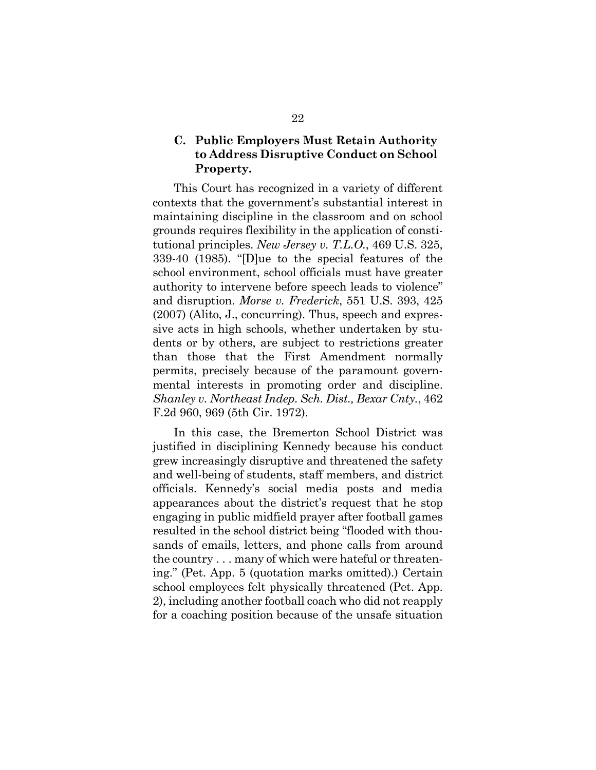# **C. Public Employers Must Retain Authority to Address Disruptive Conduct on School Property.**

This Court has recognized in a variety of different contexts that the government's substantial interest in maintaining discipline in the classroom and on school grounds requires flexibility in the application of constitutional principles. *New Jersey v. T.L.O.*, 469 U.S. 325, 339-40 (1985). "[D]ue to the special features of the school environment, school officials must have greater authority to intervene before speech leads to violence" and disruption. *Morse v. Frederick*, 551 U.S. 393, 425 (2007) (Alito, J., concurring). Thus, speech and expressive acts in high schools, whether undertaken by students or by others, are subject to restrictions greater than those that the First Amendment normally permits, precisely because of the paramount governmental interests in promoting order and discipline. *Shanley v. Northeast Indep. Sch. Dist., Bexar Cnty.*, 462 F.2d 960, 969 (5th Cir. 1972).

In this case, the Bremerton School District was justified in disciplining Kennedy because his conduct grew increasingly disruptive and threatened the safety and well-being of students, staff members, and district officials. Kennedy's social media posts and media appearances about the district's request that he stop engaging in public midfield prayer after football games resulted in the school district being "flooded with thousands of emails, letters, and phone calls from around the country . . . many of which were hateful or threatening." (Pet. App. 5 (quotation marks omitted).) Certain school employees felt physically threatened (Pet. App. 2), including another football coach who did not reapply for a coaching position because of the unsafe situation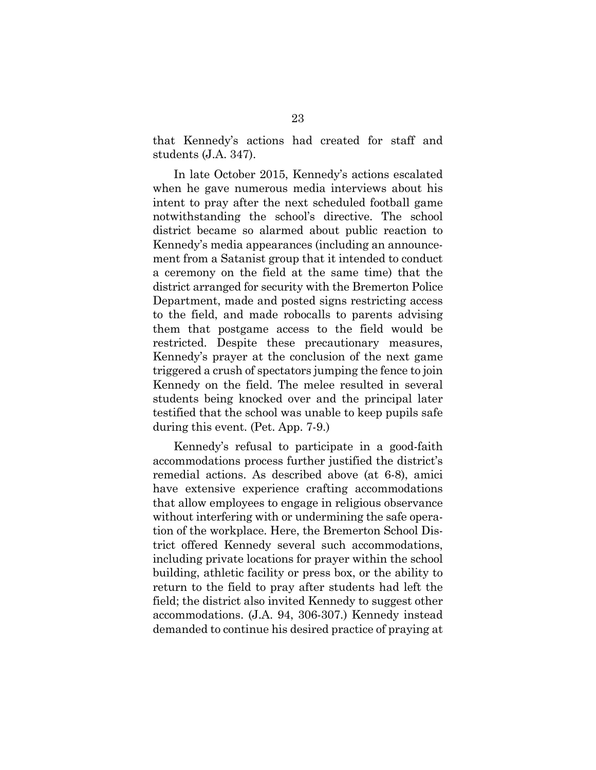that Kennedy's actions had created for staff and students (J.A. 347).

In late October 2015, Kennedy's actions escalated when he gave numerous media interviews about his intent to pray after the next scheduled football game notwithstanding the school's directive. The school district became so alarmed about public reaction to Kennedy's media appearances (including an announcement from a Satanist group that it intended to conduct a ceremony on the field at the same time) that the district arranged for security with the Bremerton Police Department, made and posted signs restricting access to the field, and made robocalls to parents advising them that postgame access to the field would be restricted. Despite these precautionary measures, Kennedy's prayer at the conclusion of the next game triggered a crush of spectators jumping the fence to join Kennedy on the field. The melee resulted in several students being knocked over and the principal later testified that the school was unable to keep pupils safe during this event. (Pet. App. 7-9.)

Kennedy's refusal to participate in a good-faith accommodations process further justified the district's remedial actions. As described above (at 6-8), amici have extensive experience crafting accommodations that allow employees to engage in religious observance without interfering with or undermining the safe operation of the workplace. Here, the Bremerton School District offered Kennedy several such accommodations, including private locations for prayer within the school building, athletic facility or press box, or the ability to return to the field to pray after students had left the field; the district also invited Kennedy to suggest other accommodations. (J.A. 94, 306-307.) Kennedy instead demanded to continue his desired practice of praying at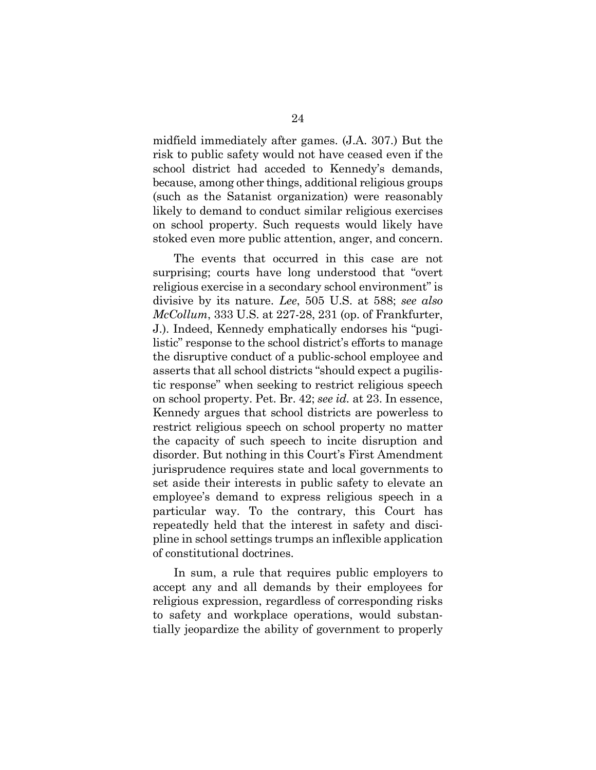midfield immediately after games. (J.A. 307.) But the risk to public safety would not have ceased even if the school district had acceded to Kennedy's demands, because, among other things, additional religious groups (such as the Satanist organization) were reasonably likely to demand to conduct similar religious exercises on school property. Such requests would likely have stoked even more public attention, anger, and concern.

The events that occurred in this case are not surprising; courts have long understood that "overt religious exercise in a secondary school environment" is divisive by its nature. *Lee*, 505 U.S. at 588; *see also McCollum*, 333 U.S. at 227-28, 231 (op. of Frankfurter, J.). Indeed, Kennedy emphatically endorses his "pugilistic" response to the school district's efforts to manage the disruptive conduct of a public-school employee and asserts that all school districts "should expect a pugilistic response" when seeking to restrict religious speech on school property. Pet. Br. 42; *see id.* at 23. In essence, Kennedy argues that school districts are powerless to restrict religious speech on school property no matter the capacity of such speech to incite disruption and disorder. But nothing in this Court's First Amendment jurisprudence requires state and local governments to set aside their interests in public safety to elevate an employee's demand to express religious speech in a particular way. To the contrary, this Court has repeatedly held that the interest in safety and discipline in school settings trumps an inflexible application of constitutional doctrines.

In sum, a rule that requires public employers to accept any and all demands by their employees for religious expression, regardless of corresponding risks to safety and workplace operations, would substantially jeopardize the ability of government to properly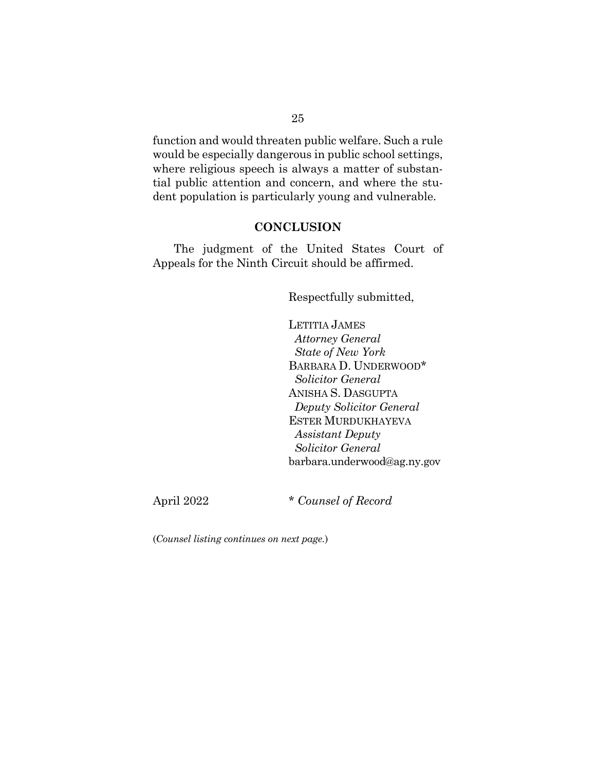function and would threaten public welfare. Such a rule would be especially dangerous in public school settings, where religious speech is always a matter of substantial public attention and concern, and where the student population is particularly young and vulnerable.

#### **CONCLUSION**

The judgment of the United States Court of Appeals for the Ninth Circuit should be affirmed.

Respectfully submitted,

LETITIA JAMES  *Attorney General State of New York* BARBARA D. UNDERWOOD\* *Solicitor General* ANISHA S. DASGUPTA *Deputy Solicitor General*  ESTER MURDUKHAYEVA  *Assistant Deputy Solicitor General*  barbara.underwood@ag.ny.gov

April 2022 \* *Counsel of Record*

(*Counsel listing continues on next page.*)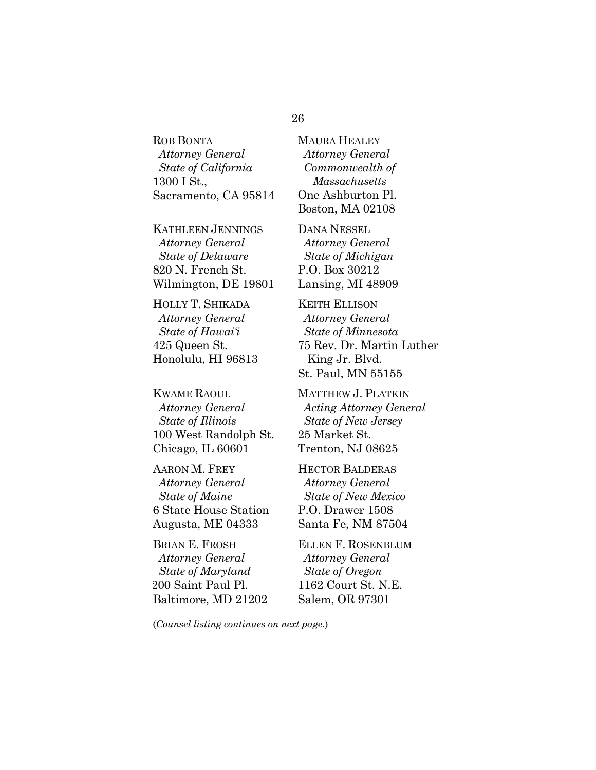ROB BONTA  *Attorney General State of California* 1300 I St., Sacramento, CA 95814

KATHLEEN JENNINGS  *Attorney General State of Delaware*  820 N. French St. Wilmington, DE 19801

HOLLY T. SHIKADA  *Attorney General State of Hawai'i*  425 Queen St. Honolulu, HI 96813

KWAME RAOUL  *Attorney General State of Illinois* 100 West Randolph St. Chicago, IL 60601

AARON M. FREY *Attorney General State of Maine* 6 State House Station Augusta, ME 04333

BRIAN E. FROSH *Attorney General State of Maryland* 200 Saint Paul Pl. Baltimore, MD 21202 MAURA HEALEY *Attorney General Commonwealth of Massachusetts*  One Ashburton Pl. Boston, MA 02108

DANA NESSEL  *Attorney General State of Michigan*  P.O. Box 30212 Lansing, MI 48909

KEITH ELLISON  *Attorney General State of Minnesota* 75 Rev. Dr. Martin Luther King Jr. Blvd. St. Paul, MN 55155

MATTHEW J. PLATKIN  *Acting Attorney General State of New Jersey* 25 Market St. Trenton, NJ 08625

HECTOR BALDERAS  *Attorney General State of New Mexico*  P.O. Drawer 1508 Santa Fe, NM 87504

ELLEN F. ROSENBLUM  *Attorney General State of Oregon*  1162 Court St. N.E. Salem, OR 97301

(*Counsel listing continues on next page.*)

#### 26